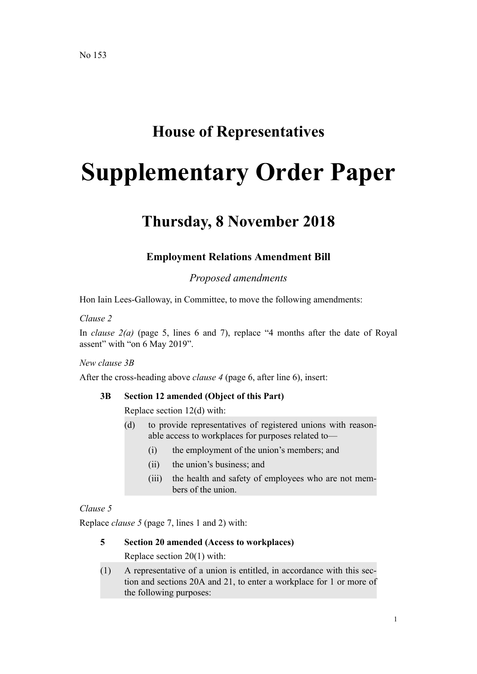## **House of Representatives**

# **Supplementary Order Paper**

# **Thursday, 8 November 2018**

## **Employment Relations Amendment Bill**

*Proposed amendments*

Hon Iain Lees-Galloway, in Committee, to move the following amendments:

#### *Clause 2*

In *clause 2(a)* (page 5, lines 6 and 7), replace "4 months after the date of Royal assent" with "on 6 May 2019".

#### *New clause 3B*

After the cross-heading above *clause 4* (page 6, after line 6), insert:

#### **3B Section 12 amended (Object of this Part)**

Replace section 12(d) with:

- (d) to provide representatives of registered unions with reasonable access to workplaces for purposes related to—
	- (i) the employment of the union's members; and
	- (ii) the union's business; and
	- (iii) the health and safety of employees who are not members of the union.

#### *Clause 5*

Replace *clause 5* (page 7, lines 1 and 2) with:

#### **5 Section 20 amended (Access to workplaces)**

Replace section 20(1) with:

(1) A representative of a union is entitled, in accordance with this section and sections 20A and 21, to enter a workplace for 1 or more of the following purposes: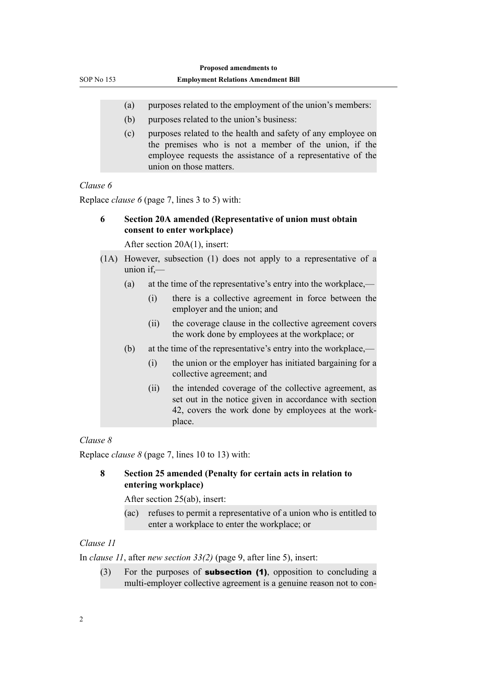- (a) purposes related to the employment of the union's members:
- (b) purposes related to the union's business:
- (c) purposes related to the health and safety of any employee on the premises who is not a member of the union, if the employee requests the assistance of a representative of the union on those matters.

#### *Clause 6*

Replace *clause 6* (page 7, lines 3 to 5) with:

#### **6 Section 20A amended (Representative of union must obtain consent to enter workplace)**

After section 20A(1), insert:

- (1A) However, subsection (1) does not apply to a representative of a union  $if$   $-$ 
	- (a) at the time of the representative's entry into the workplace,—
		- (i) there is a collective agreement in force between the employer and the union; and
		- (ii) the coverage clause in the collective agreement covers the work done by employees at the workplace; or
	- (b) at the time of the representative's entry into the workplace,—
		- (i) the union or the employer has initiated bargaining for a collective agreement; and
		- (ii) the intended coverage of the collective agreement, as set out in the notice given in accordance with section 42, covers the work done by employees at the workplace.

#### *Clause 8*

Replace *clause 8* (page 7, lines 10 to 13) with:

#### **8 Section 25 amended (Penalty for certain acts in relation to entering workplace)**

After section 25(ab), insert:

(ac) refuses to permit a representative of a union who is entitled to enter a workplace to enter the workplace; or

#### *Clause 11*

In *clause 11*, after *new section 33(2)* (page 9, after line 5), insert:

 $(3)$  For the purposes of **subsection (1)**, opposition to concluding a multi-employer collective agreement is a genuine reason not to con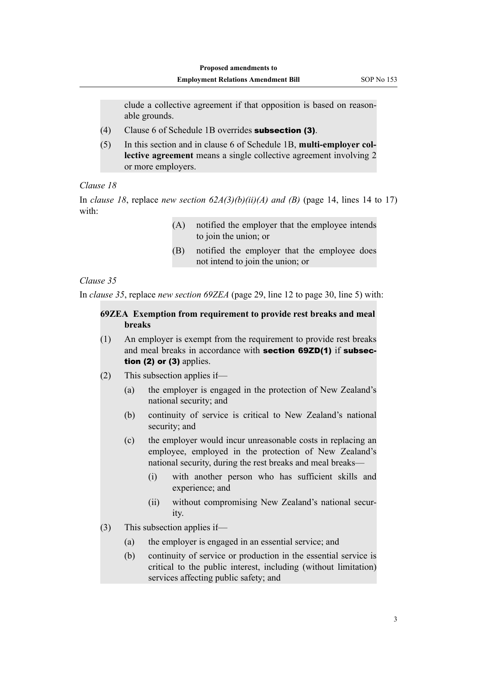clude a collective agreement if that opposition is based on reasonable grounds.

- (4) Clause 6 of Schedule 1B overrides subsection (3).
- (5) In this section and in clause 6 of Schedule 1B, **multi-employer collective agreement** means a single collective agreement involving 2 or more employers.

#### *Clause 18*

In *clause 18*, replace *new section*  $62A(3)(b)(ii)(A)$  *and* (B) (page 14, lines 14 to 17) with:

- (A) notified the employer that the employee intends to join the union; or
- (B) notified the employer that the employee does not intend to join the union; or

#### *Clause 35*

In *clause 35*, replace *new section 69ZEA* (page 29, line 12 to page 30, line 5) with:

#### **69ZEA Exemption from requirement to provide rest breaks and meal breaks**

- (1) An employer is exempt from the requirement to provide rest breaks and meal breaks in accordance with section 69ZD(1) if subsection  $(2)$  or  $(3)$  applies.
- (2) This subsection applies if—
	- (a) the employer is engaged in the protection of New Zealand's national security; and
	- (b) continuity of service is critical to New Zealand's national security; and
	- (c) the employer would incur unreasonable costs in replacing an employee, employed in the protection of New Zealand's national security, during the rest breaks and meal breaks—
		- (i) with another person who has sufficient skills and experience; and
		- (ii) without compromising New Zealand's national security.
- (3) This subsection applies if—
	- (a) the employer is engaged in an essential service; and
	- (b) continuity of service or production in the essential service is critical to the public interest, including (without limitation) services affecting public safety; and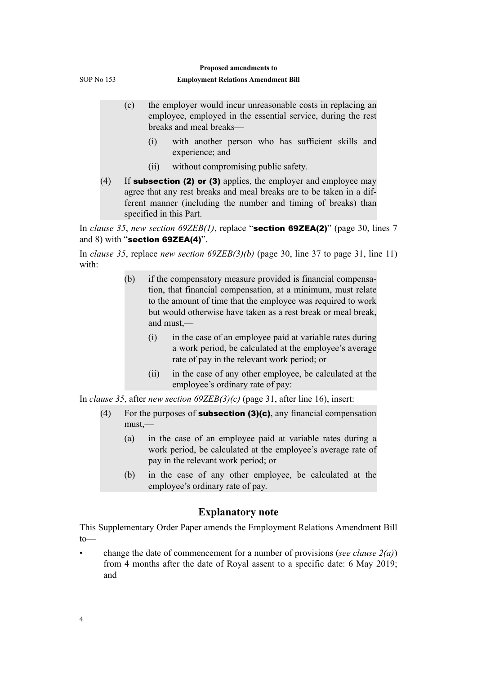- (c) the employer would incur unreasonable costs in replacing an employee, employed in the essential service, during the rest breaks and meal breaks—
	- (i) with another person who has sufficient skills and experience; and
	- (ii) without compromising public safety.
- (4) If **subsection (2) or (3)** applies, the employer and employee may agree that any rest breaks and meal breaks are to be taken in a different manner (including the number and timing of breaks) than specified in this Part.

In *clause 35*, *new section 69ZEB(1)*, replace "section 69ZEA(2)" (page 30, lines 7 and 8) with "section 69ZEA(4)".

In *clause 35*, replace *new section 69ZEB(3)(b)* (page 30, line 37 to page 31, line 11) with:

- (b) if the compensatory measure provided is financial compensation, that financial compensation, at a minimum, must relate to the amount of time that the employee was required to work but would otherwise have taken as a rest break or meal break, and must,—
	- (i) in the case of an employee paid at variable rates during a work period, be calculated at the employee's average rate of pay in the relevant work period; or
	- (ii) in the case of any other employee, be calculated at the employee's ordinary rate of pay:

In *clause 35*, after *new section 69ZEB(3)(c)* (page 31, after line 16), insert:

- (4) For the purposes of **subsection (3)(c)**, any financial compensation must,—
	- (a) in the case of an employee paid at variable rates during a work period, be calculated at the employee's average rate of pay in the relevant work period; or
	- (b) in the case of any other employee, be calculated at the employee's ordinary rate of pay.

### **Explanatory note**

This Supplementary Order Paper amends the Employment Relations Amendment Bill to—

• change the date of commencement for a number of provisions (*see clause 2(a)*) from 4 months after the date of Royal assent to a specific date: 6 May 2019; and